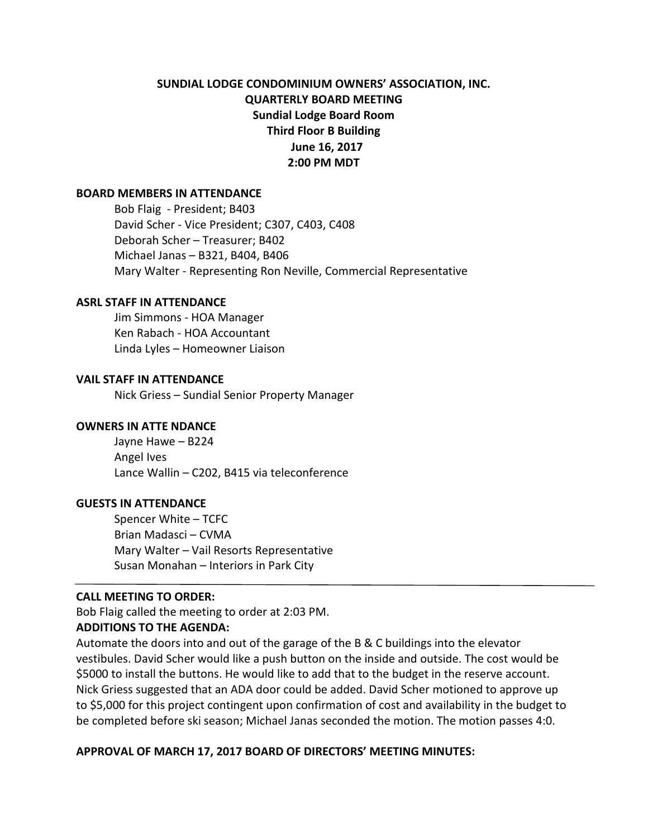# **SUNDIAL LODGE CONDOMINIUM OWNERS' ASSOCIATION, INC. QUARTERLY BOARD MEETING Sundial Lodge Board Room Third Floor B Building June 16, 2017 2:00 PM MDT**

#### **BOARD MEMBERS IN ATTENDANCE**

Bob Flaig - President; B403 David Scher - Vice President; C307, C403, C408 Deborah Scher – Treasurer; B402 Michael Janas – B321, B404, B406 Mary Walter - Representing Ron Neville, Commercial Representative

#### **ASRL STAFF IN ATTENDANCE**

Jim Simmons - HOA Manager Ken Rabach - HOA Accountant Linda Lyles – Homeowner Liaison

#### **VAIL STAFF IN ATTENDANCE**

Nick Griess – Sundial Senior Property Manager

#### **OWNERS IN ATTE NDANCE**

Jayne Hawe – B224 Angel Ives Lance Wallin – C202, B415 via teleconference

#### **GUESTS IN ATTENDANCE**

Spencer White – TCFC Brian Madasci – CVMA Mary Walter – Vail Resorts Representative Susan Monahan – Interiors in Park City

### **CALL MEETING TO ORDER:**

Bob Flaig called the meeting to order at 2:03 PM.

### **ADDITIONS TO THE AGENDA:**

Automate the doors into and out of the garage of the B & C buildings into the elevator vestibules. David Scher would like a push button on the inside and outside. The cost would be \$5000 to install the buttons. He would like to add that to the budget in the reserve account. Nick Griess suggested that an ADA door could be added. David Scher motioned to approve up to \$5,000 for this project contingent upon confirmation of cost and availability in the budget to be completed before ski season; Michael Janas seconded the motion. The motion passes 4:0.

### **APPROVAL OF MARCH 17, 2017 BOARD OF DIRECTORS' MEETING MINUTES:**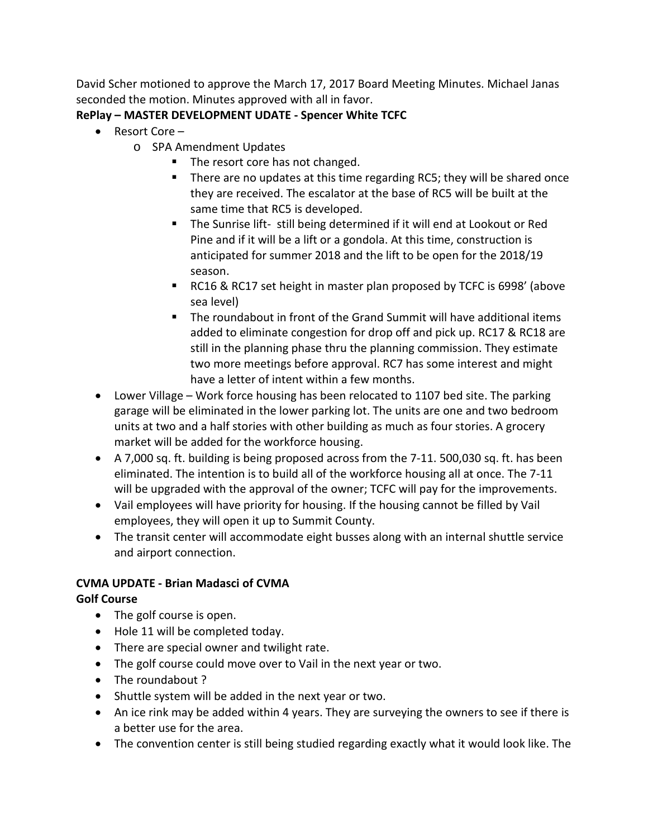David Scher motioned to approve the March 17, 2017 Board Meeting Minutes. Michael Janas seconded the motion. Minutes approved with all in favor.

# **RePlay – MASTER DEVELOPMENT UDATE - Spencer White TCFC**

- Resort Core
	- o SPA Amendment Updates
		- The resort core has not changed.
		- There are no updates at this time regarding RC5; they will be shared once they are received. The escalator at the base of RC5 will be built at the same time that RC5 is developed.
		- The Sunrise lift- still being determined if it will end at Lookout or Red Pine and if it will be a lift or a gondola. At this time, construction is anticipated for summer 2018 and the lift to be open for the 2018/19 season.
		- RC16 & RC17 set height in master plan proposed by TCFC is 6998' (above sea level)
		- The roundabout in front of the Grand Summit will have additional items added to eliminate congestion for drop off and pick up. RC17 & RC18 are still in the planning phase thru the planning commission. They estimate two more meetings before approval. RC7 has some interest and might have a letter of intent within a few months.
- Lower Village Work force housing has been relocated to 1107 bed site. The parking garage will be eliminated in the lower parking lot. The units are one and two bedroom units at two and a half stories with other building as much as four stories. A grocery market will be added for the workforce housing.
- A 7,000 sq. ft. building is being proposed across from the 7-11. 500,030 sq. ft. has been eliminated. The intention is to build all of the workforce housing all at once. The 7-11 will be upgraded with the approval of the owner; TCFC will pay for the improvements.
- Vail employees will have priority for housing. If the housing cannot be filled by Vail employees, they will open it up to Summit County.
- The transit center will accommodate eight busses along with an internal shuttle service and airport connection.

# **CVMA UPDATE - Brian Madasci of CVMA**

# **Golf Course**

- The golf course is open.
- Hole 11 will be completed today.
- There are special owner and twilight rate.
- The golf course could move over to Vail in the next year or two.
- The roundabout ?
- Shuttle system will be added in the next year or two.
- An ice rink may be added within 4 years. They are surveying the owners to see if there is a better use for the area.
- The convention center is still being studied regarding exactly what it would look like. The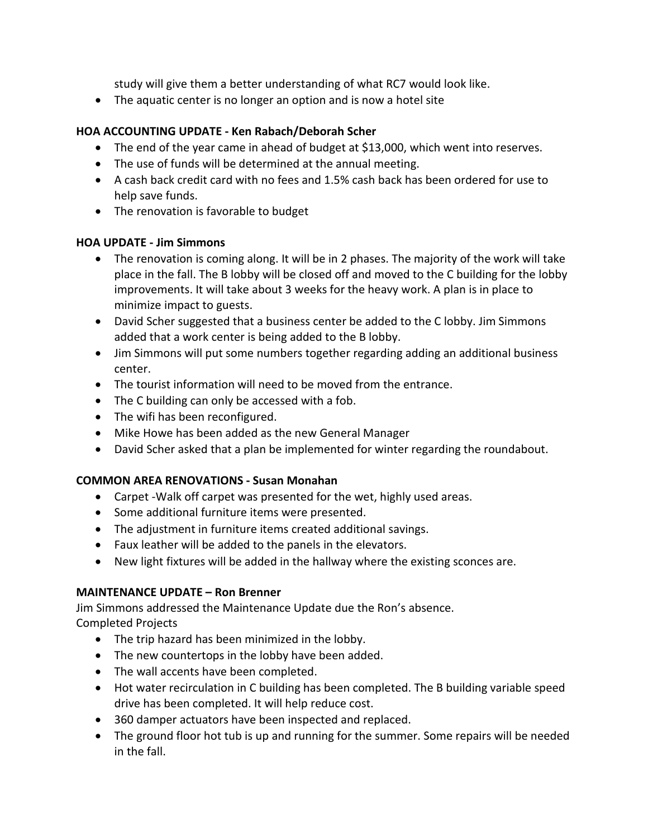study will give them a better understanding of what RC7 would look like.

• The aquatic center is no longer an option and is now a hotel site

## **HOA ACCOUNTING UPDATE - Ken Rabach/Deborah Scher**

- The end of the year came in ahead of budget at \$13,000, which went into reserves.
- The use of funds will be determined at the annual meeting.
- A cash back credit card with no fees and 1.5% cash back has been ordered for use to help save funds.
- The renovation is favorable to budget

## **HOA UPDATE - Jim Simmons**

- The renovation is coming along. It will be in 2 phases. The majority of the work will take place in the fall. The B lobby will be closed off and moved to the C building for the lobby improvements. It will take about 3 weeks for the heavy work. A plan is in place to minimize impact to guests.
- David Scher suggested that a business center be added to the C lobby. Jim Simmons added that a work center is being added to the B lobby.
- Jim Simmons will put some numbers together regarding adding an additional business center.
- The tourist information will need to be moved from the entrance.
- The C building can only be accessed with a fob.
- The wifi has been reconfigured.
- Mike Howe has been added as the new General Manager
- David Scher asked that a plan be implemented for winter regarding the roundabout.

# **COMMON AREA RENOVATIONS - Susan Monahan**

- Carpet -Walk off carpet was presented for the wet, highly used areas.
- Some additional furniture items were presented.
- The adjustment in furniture items created additional savings.
- Faux leather will be added to the panels in the elevators.
- New light fixtures will be added in the hallway where the existing sconces are.

## **MAINTENANCE UPDATE – Ron Brenner**

Jim Simmons addressed the Maintenance Update due the Ron's absence. Completed Projects

- The trip hazard has been minimized in the lobby.
- The new countertops in the lobby have been added.
- The wall accents have been completed.
- Hot water recirculation in C building has been completed. The B building variable speed drive has been completed. It will help reduce cost.
- 360 damper actuators have been inspected and replaced.
- The ground floor hot tub is up and running for the summer. Some repairs will be needed in the fall.